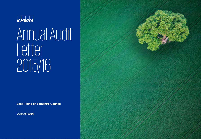

# Annual Audit Letter 2015/16

**East Riding of Yorkshire Council**

October 2016

 $\frac{1}{\sqrt{2}}$ 

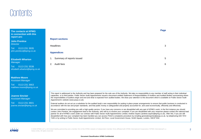## Contents

#### **The contacts at KPMG in connection with this report are:**

**John Prentice** *Director*

Tel: 0113 231 3935 john.prentice@kpmg.co.uk

**Elizabeth Wharton** *Manager*

Tel: 0113 231 3538 elizabeth.wharton@kpmg.co.uk

**Matthew Moore**  *Assistant Manager*

Tel: 0113 231 3663 matthew.moore@kpmg.co.uk

**Joanne Sinclair** *Assistant Manager*

Tel: 0113 231 3601 joanne.sinclair@kpmg.co.uk

| <b>Report sections</b> |                              |   |  |  |
|------------------------|------------------------------|---|--|--|
|                        | Headlines                    |   |  |  |
|                        | <b>Appendices</b>            |   |  |  |
|                        | 1. Summary of reports issued | 5 |  |  |
| 2.                     | Audit fees                   | 6 |  |  |
|                        |                              |   |  |  |

This report is addressed to the Authority and has been prepared for the sole use of the Authority. We take no responsibility to any member of staff acting in their individual capacities, or to third parties. Public Sector Audit Appointments issued a document entitled Statement of Responsibilities of Auditors and Audited Bodies summarising where the responsibilities of auditors begin and end and what is expected from audited bodies. We draw your attention to this document which is available on Public Sector Audit Appointment's website (www.psaa.co.uk).

External auditors do not act as a substitute for the audited body's own responsibility for putting in place proper arrangements to ensure that public business is conducted in accordance with the law and proper standards, and that public money is safeguarded and properly accounted for, and used economically, efficiently and effectively.

We are committed to providing you with a high quality service. If you have any concerns or are dissatisfied with any part of KPMG's work, in the first instance you should contact John Prentice, the engagement lead to the Authority, who will try to resolve your complaint. If you are dissatisfied with your response please contact the national lead partner for all of KPMG's work under our contract with Public Sector Audit Appointments Limited, Andrew Sayers (andrew.sayers@kpmg.co.uk). After this, if you are still dissatisfied with how your complaint has been handled you can access PSAA's complaints procedure by emailing generalenquiries@psaa.co.uk, by telephoning 020 7072 7445 or by writing to Public Sector Audit Appointments Limited, 3rd Floor, Local Government House, Smith Square, London, SW1P 3HZ.



© 2016 KPMG LLP, a UK limited liability partnership and a member firm of the KPMG network of independent member firms affiliated with KPMG International Cooperative ("KPMG International"), a Swiss entity. All rights reserved.

**Page**

5

6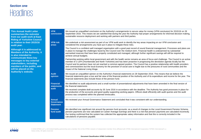### **Section one**

### **Headlines**

| <b>This Annual Audit Letter</b><br>summarises the outcome<br>from our audit work at East<br><b>Riding of Yorkshire Council</b>      | <b>VFM</b><br>conclusion                               | We issued an unqualified conclusion on the Authority's arrangements to secure value for money (VFM conclusion) for 2015/16 on 28<br>September 2016. This means we are satisfied that during the year the Authority had proper arrangements for informed decision making,<br>sustainable resource deployment and working with partners and third parties.                                                                                                                                                                                                                                          |
|-------------------------------------------------------------------------------------------------------------------------------------|--------------------------------------------------------|---------------------------------------------------------------------------------------------------------------------------------------------------------------------------------------------------------------------------------------------------------------------------------------------------------------------------------------------------------------------------------------------------------------------------------------------------------------------------------------------------------------------------------------------------------------------------------------------------|
| in relation to their 2015/16<br>audit year.                                                                                         | <b>VFM risk</b><br>areas                               | We undertook a risk assessment as part of our VFM audit work to identify the key areas impacting on our VFM conclusion and<br>considered the arrangements you have put in place to mitigate these risks.                                                                                                                                                                                                                                                                                                                                                                                          |
| Although it is addressed to<br><b>Members of the Authority, it</b><br>is also intended to                                           |                                                        | The Council is a confident well managed organisation with a good past record of sound financial management. Processes and plans are<br>in place to manage the challenges faced by the Council over the medium term. Financial health is underpinned by substantial<br>earmarked reserves that have been properly constituted and managed, although further significant savings will still be required to<br>achieve annual budgets.                                                                                                                                                               |
| communicate these key<br>messages to key external<br>stakeholders, including<br>members of the public, and<br>will be placed on the |                                                        | Partnership working within local government and with the health sector remains an area of focus and challenge. The Council is an active<br>member of 2 LEPs (Humberside and North Yorkshire) and has been proactive in progressing the devolution agenda locally but the<br>Council and its partners have not yet reached a common agreed position. The Council has a positive relationship with health providers<br>and commissioners but the local economy for the provision of social care is fragile due to the pressures of rural communities and the<br>impact of the National Living Wage. |
| <b>Authority's website.</b>                                                                                                         | <b>Audit</b><br>opinion                                | We issued an unqualified opinion on the Authority's financial statements on 28 September 2016. This means that we believe the<br>financial statements give a true and fair view of the financial position of the Authority and of its expenditure and income for the year. The<br>financial statements also include those of the pension fund.                                                                                                                                                                                                                                                    |
|                                                                                                                                     | <b>Financial</b><br><b>statements</b>                  | We identified no audit adjustments and a small number of presentational adjustments that have been amended in the final version of<br>the financial statements                                                                                                                                                                                                                                                                                                                                                                                                                                    |
|                                                                                                                                     | audit                                                  | We received complete draft accounts by 30 June 2016 in accordance with the deadline. The Authority has good processes in place for<br>the production of the accounts and good quality supporting working papers. Officers dealt efficiently with audit queries and the audit<br>process was completed within the planned timescales.                                                                                                                                                                                                                                                              |
|                                                                                                                                     | <b>Annual</b><br><b>Governance</b><br><b>Statement</b> | We reviewed your Annual Governance Statement and concluded that it was consistent with our understanding.                                                                                                                                                                                                                                                                                                                                                                                                                                                                                         |
|                                                                                                                                     | <b>Pension</b><br>fund audit                           | We identified one significant risk around the pension fund accounts: as a result of changes to the Local Government Pension Scheme,<br>pension payments are now calculated on Career Average Earnings and there is a risk that pension payments are calculated incorrectly.<br>Our testing confirmed that the system has collected the appropriate salary information and that this is correctly included in the<br>calculations of pensions payable.                                                                                                                                             |

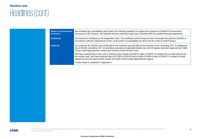### **Section one**

# Headlines (cont)

| <b>Whole of Government</b><br><b>Accounts</b> | We reviewed the consolidation pack which the Authority prepared to support the production of Whole of Government<br>Accounts by HM Treasury. We reported that the Authority's pack was consistent with the audited financial statements.                                                                                                         |  |  |  |
|-----------------------------------------------|--------------------------------------------------------------------------------------------------------------------------------------------------------------------------------------------------------------------------------------------------------------------------------------------------------------------------------------------------|--|--|--|
| <b>Certificate</b>                            | We issued our certificate on 28 September 2016. The certificate confirms that we have concluded the audit for 2015/16 in<br>accordance with the requirements of the Local Audit & Accountability Act 2014 and the Code of Audit Practice.                                                                                                        |  |  |  |
| <b>Audit fee</b>                              | Our scale fee for 2015/16 was £138,498 for the Authority and £28,491 for the Pension Fund, excluding VAT. An additional<br>fee of £5,000, excluding VAT, for providing assurance to admitted bodies over IAS 19 figures has been approved by Public<br>Sector Audit Appointments Limited and invoiced to the Pension Fund.                       |  |  |  |
|                                               | We have invoiced fees of £11,118 in 2015/16 and a further £10,000 to date in 2016/17 in respect of non-audit services for<br>tax reclaim work. We have invoiced fees of £7,000 in 2015/16 and a further £2,400 to date in 2016/17 in respect of audit-<br>related services for grant claims outside the Public Sector Audit Appointments regime. |  |  |  |
|                                               | Further detail is contained in Appendix 2.                                                                                                                                                                                                                                                                                                       |  |  |  |

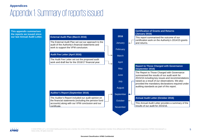### Appendix 1: Summary of reports issued **Appendices**

**This appendix summarises the reports we issued since our last Annual Audit Letter.**





© 2016 KPMG LLP, a UK limited liability partnership and a member firm of the KPMG network of independent member firms affiliated with KPMG International Cooperative ("KPMG International"), a Swiss entity. All rights reserved.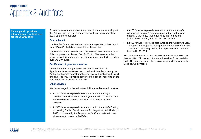### Appendix 2: Audit fees **Appendices**

**This appendix provides information on our final fees for the 2015/16 audit.**

To ensure transparency about the extent of our fee relationship with the Authority we have summarised below the outturn against the 2015/16 planned audit fee.

#### **External audit**

Our final fee for the 2015/16 audit East Riding of Yorkshire Council was £138,498 which is in line with the planned fee.

Our final fee for the 2015/16 audit of the Pension Fund was £33,491. This compares to a planned fee of £28,491. The reason for this variance is additional work to provide assurance to admitted bodies over IAS 19 figures.

### **Certification of grants and returns**

Under our terms of engagement with Public Sector Audit Appointments we undertake prescribed work in order to certify the Authority's housing benefit grant claim. This certification work is still ongoing. The final fee will be confirmed through our reporting on the outcome of that work in January 2017.

#### **Other services**

We have charged for the following additional audit-related services:

- £2,300 for work to provide assurance on the Authority's Teachers' Pensions return for the year ended 31 March 2015 as required by the Teachers' Pensions Authority invoiced in 2015/16;
- £1,500 for work to provide assurance on the Authority's Pooling of Housing Capital Receipts return for the year ended 31 March 2015 as required by the Department for Communities & Local Government invoiced in 2015/16;
- £3,200 for work to provide assurance on the Authority's Affordable Housing Programme grant return for the year ended 31 March 2015 as required by the Homes and Communities Agency invoiced in 2015/16; and
- £2,400 for work to provide assurance on the Authority's Local Transport Plan Major Projects grant return for the year ended 31 March 2015 as required by the Department for Transport invoiced in 2016/17.

We have charged £11,118 in 2015/16 and a further £10,000 to date in 2016/17 in respect of non-audit services for tax reclaim work. This work was not related to our responsibilities under the Code of Audit Practice.